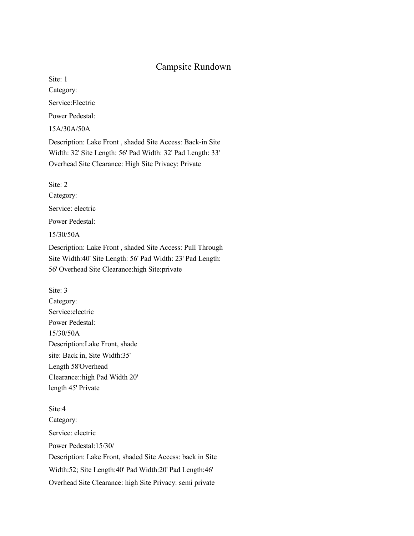## Campsite Rundown

Site: 1

Category:

Service:Electric

Power Pedestal:

15A/30A/50A

Description: Lake Front , shaded Site Access: Back-in Site Width: 32' Site Length: 56' Pad Width: 32' Pad Length: 33' Overhead Site Clearance: High Site Privacy: Private

Site: 2 Category: Service: electric Power Pedestal: 15/30/50A Description: Lake Front , shaded Site Access: Pull Through Site Width:40' Site Length: 56' Pad Width: 23' Pad Length: 56' Overhead Site Clearance:high Site:private

Site: 3 Category: Service:electric Power Pedestal: 15/30/50A Description:Lake Front, shade site: Back in, Site Width:35' Length 58'Overhead Clearance::high Pad Width 20' length 45' Private

Site:4 Category: Service: electric Power Pedestal:15/30/ Description: Lake Front, shaded Site Access: back in Site Width:52; Site Length:40' Pad Width:20' Pad Length:46' Overhead Site Clearance: high Site Privacy: semi private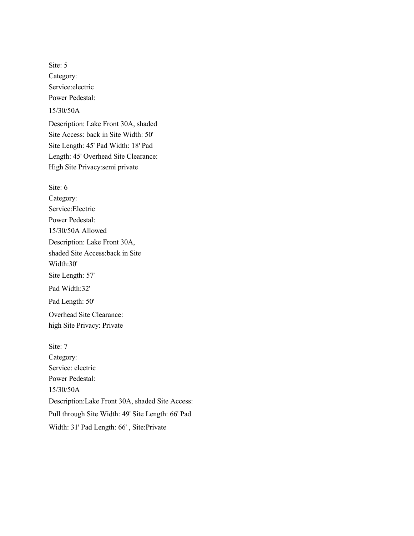Site: 5 Category: Service:electric Power Pedestal:

15/30/50A

Description: Lake Front 30A, shaded Site Access: back in Site Width: 50' Site Length: 45' Pad Width: 18' Pad Length: 45' Overhead Site Clearance: High Site Privacy:semi private

Site: 6 Category: Service:Electric Power Pedestal: 15/30/50A Allowed Description: Lake Front 30A, shaded Site Access:back in Site Width:30' Site Length: 57' Pad Width:32' Pad Length: 50' Overhead Site Clearance: high Site Privacy: Private

Site: 7 Category: Service: electric Power Pedestal: 15/30/50A Description:Lake Front 30A, shaded Site Access: Pull through Site Width: 49' Site Length: 66' Pad Width: 31' Pad Length: 66' , Site:Private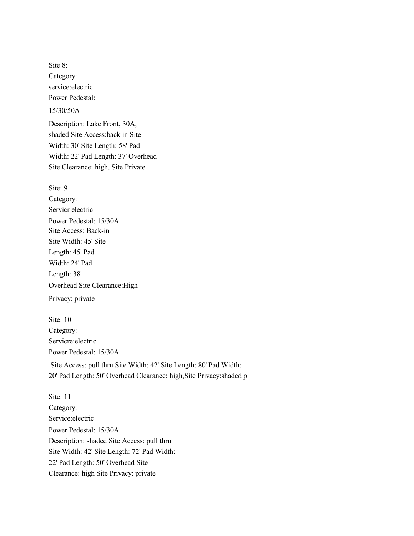Site 8: Category: service:electric Power Pedestal: 15/30/50A Description: Lake Front, 30A, shaded Site Access:back in Site Width: 30' Site Length: 58' Pad Width: 22' Pad Length: 37' Overhead Site Clearance: high, Site Private

Site: 9 Category: Servicr electric Power Pedestal: 15/30A Site Access: Back-in Site Width: 45' Site Length: 45' Pad Width: 24' Pad Length: 38' Overhead Site Clearance:High Privacy: private

Site: 10 Category: Servicre:electric Power Pedestal: 15/30A Site Access: pull thru Site Width: 42' Site Length: 80' Pad Width: 20' Pad Length: 50' Overhead Clearance: high,Site Privacy:shaded p

Site: 11 Category: Service:electric Power Pedestal: 15/30A Description: shaded Site Access: pull thru Site Width: 42' Site Length: 72' Pad Width: 22' Pad Length: 50' Overhead Site Clearance: high Site Privacy: private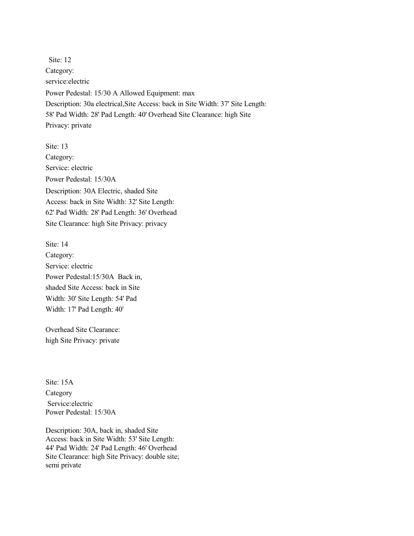Site: 12 Category: service:electric Power Pedestal: 15/30 A Allowed Equipment: max Description: 30a electrical,Site Access: back in Site Width: 37' Site Length: 58' Pad Width: 28' Pad Length: 40' Overhead Site Clearance: high Site Privacy: private

Site: 13 Category: Service: electric Power Pedestal: 15/30A Description: 30A Electric, shaded Site Access: back in Site Width: 32' Site Length: 62' Pad Width: 28' Pad Length: 36' Overhead Site Clearance: high Site Privacy: privacy

Site: 14 Category: Service: electric Power Pedestal:15/30A Back in, shaded Site Access: back in Site Width: 30' Site Length: 54' Pad Width: 17' Pad Length: 40'

Overhead Site Clearance: high Site Privacy: private

Site: 15A Category Service:electric Power Pedestal: 15/30A

Description: 30A, back in, shaded Site Access: back in Site Width: 53' Site Length: 44' Pad Width: 24' Pad Length: 46' Overhead Site Clearance: high Site Privacy: double site; semi private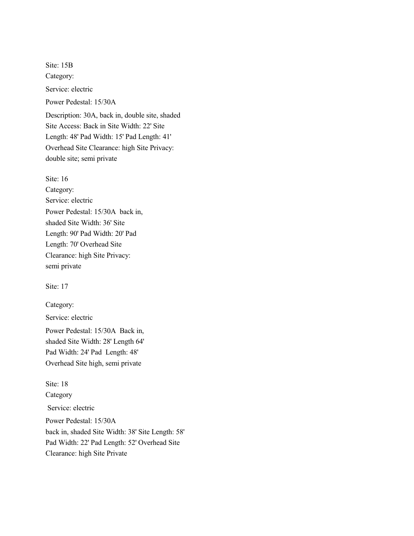Site: 15B Category: Service: electric Power Pedestal: 15/30A Description: 30A, back in, double site, shaded Site Access: Back in Site Width: 22' Site Length: 48' Pad Width: 15' Pad Length: 41' Overhead Site Clearance: high Site Privacy: double site; semi private

Site: 16

Category: Service: electric Power Pedestal: 15/30A back in, shaded Site Width: 36' Site Length: 90' Pad Width: 20' Pad Length: 70' Overhead Site Clearance: high Site Privacy: semi private

Site: 17

Category:

Service: electric

Power Pedestal: 15/30A Back in, shaded Site Width: 28' Length 64' Pad Width: 24' Pad Length: 48' Overhead Site high, semi private

Site: 18 **Category**  Service: electric Power Pedestal: 15/30A back in, shaded Site Width: 38' Site Length: 58' Pad Width: 22' Pad Length: 52' Overhead Site Clearance: high Site Private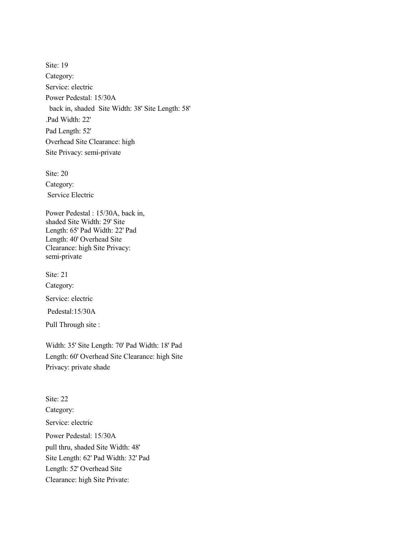Site: 19 Category: Service: electric Power Pedestal: 15/30A back in, shaded Site Width: 38' Site Length: 58' .Pad Width: 22' Pad Length: 52' Overhead Site Clearance: high Site Privacy: semi-private

Site: 20 Category: Service Electric

Power Pedestal : 15/30A, back in, shaded Site Width: 29' Site Length: 65' Pad Width: 22' Pad Length: 40' Overhead Site Clearance: high Site Privacy: semi-private

Site: 21 Category: Service: electric Pedestal:15/30A Pull Through site :

Width: 35' Site Length: 70' Pad Width: 18' Pad Length: 60' Overhead Site Clearance: high Site Privacy: private shade

Site: 22 Category: Service: electric Power Pedestal: 15/30A pull thru, shaded Site Width: 48' Site Length: 62' Pad Width: 32' Pad Length: 52' Overhead Site Clearance: high Site Private: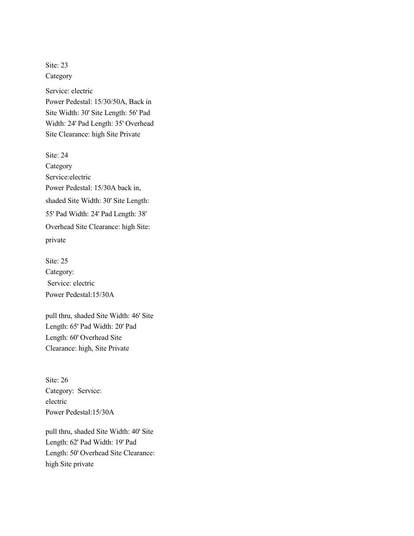Site: 23 Category Service: electric Power Pedestal: 15/30/50A, Back in Site Width: 30' Site Length: 56' Pad Width: 24' Pad Length: 35' Overhead Site Clearance: high Site Private

Site: 24 Category Service:electric Power Pedestal: 15/30A back in, shaded Site Width: 30' Site Length: 55' Pad Width: 24' Pad Length: 38' Overhead Site Clearance: high Site: private

Site: 25 Category: Service: electric Power Pedestal:15/30A

pull thru, shaded Site Width: 46' Site Length: 65' Pad Width: 20' Pad Length: 60' Overhead Site Clearance: high, Site Private

Site: 26 Category: Service: electric Power Pedestal:15/30A

pull thru, shaded Site Width: 40' Site Length: 62' Pad Width: 19' Pad Length: 50' Overhead Site Clearance: high Site private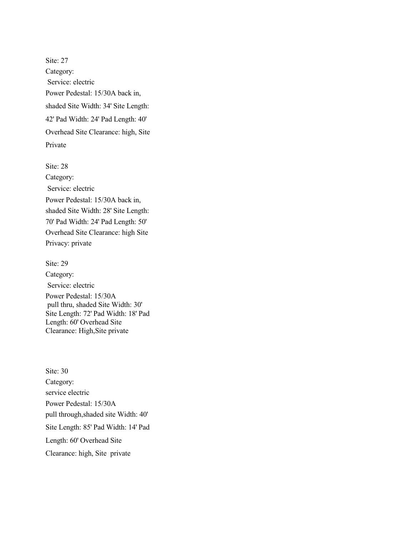Site: 27 Category: Service: electric Power Pedestal: 15/30A back in, shaded Site Width: 34' Site Length: 42' Pad Width: 24' Pad Length: 40' Overhead Site Clearance: high, Site Private

Site: 28 Category: Service: electric Power Pedestal: 15/30A back in, shaded Site Width: 28' Site Length: 70' Pad Width: 24' Pad Length: 50' Overhead Site Clearance: high Site Privacy: private

Site: 29 Category: Service: electric Power Pedestal: 15/30A pull thru, shaded Site Width: 30' Site Length: 72' Pad Width: 18' Pad Length: 60' Overhead Site Clearance: High,Site private

Site: 30 Category: service electric Power Pedestal: 15/30A pull through,shaded site Width: 40' Site Length: 85' Pad Width: 14' Pad Length: 60' Overhead Site Clearance: high, Site private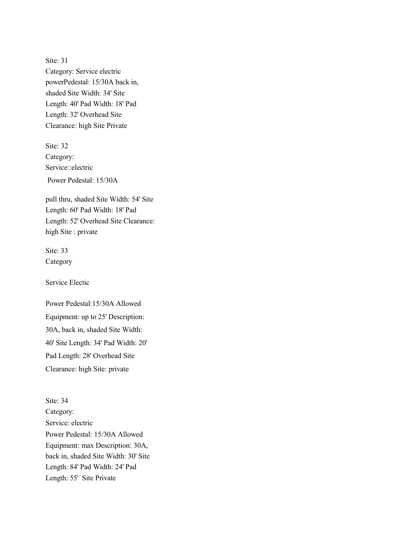Site: 31 Category: Service electric powerPedestal: 15/30A back in, shaded Site Width: 34' Site Length: 40' Pad Width: 18' Pad Length: 32' Overhead Site Clearance: high Site Private

Site: 32 Category: Service::electric Power Pedestal: 15/30A

pull thru, shaded Site Width: 54' Site Length: 60' Pad Width: 18' Pad Length: 52' Overhead Site Clearance: high Site : private

Site: 33 Category

Service Electic

Power Pedestal:15/30A Allowed Equipment: up to 25' Description: 30A, back in, shaded Site Width: 40' Site Length: 34' Pad Width: 20' Pad Length: 28' Overhead Site Clearance: high Site: private

Site: 34 Category: Service: electric Power Pedestal: 15/30A Allowed Equipment: max Description: 30A, back in, shaded Site Width: 30' Site Length: 84' Pad Width: 24' Pad Length: 55' Site Private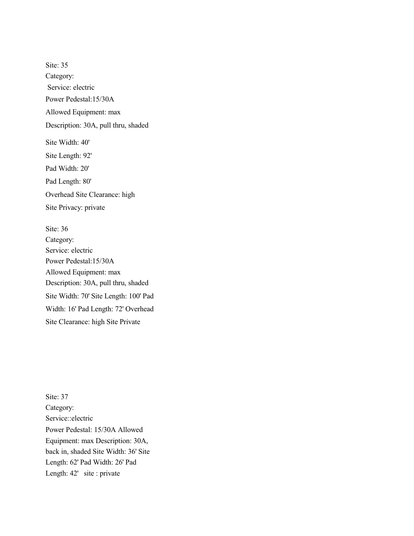Site: 35 Category: Service: electric Power Pedestal:15/30A Allowed Equipment: max Description: 30A, pull thru, shaded Site Width: 40' Site Length: 92' Pad Width: 20' Pad Length: 80' Overhead Site Clearance: high Site Privacy: private

Site: 36 Category: Service: electric Power Pedestal:15/30A Allowed Equipment: max Description: 30A, pull thru, shaded Site Width: 70' Site Length: 100' Pad Width: 16' Pad Length: 72' Overhead Site Clearance: high Site Private

Site: 37 Category: Service::electric Power Pedestal: 15/30A Allowed Equipment: max Description: 30A, back in, shaded Site Width: 36' Site Length: 62' Pad Width: 26' Pad Length: 42' site : private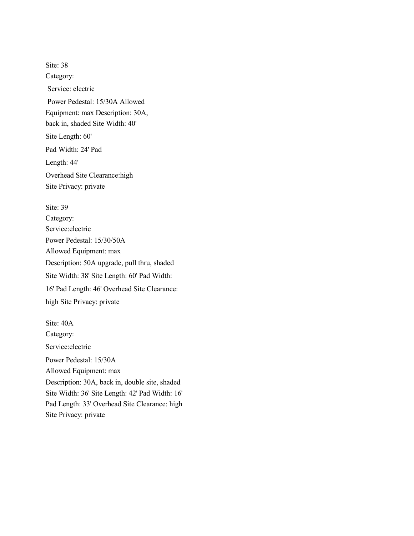Site: 38 Category: Service: electric Power Pedestal: 15/30A Allowed Equipment: max Description: 30A, back in, shaded Site Width: 40' Site Length: 60' Pad Width: 24' Pad Length: 44' Overhead Site Clearance:high Site Privacy: private

Site: 39 Category: Service:electric Power Pedestal: 15/30/50A Allowed Equipment: max Description: 50A upgrade, pull thru, shaded Site Width: 38' Site Length: 60' Pad Width: 16' Pad Length: 46' Overhead Site Clearance: high Site Privacy: private

Site: 40A Category: Service:electric Power Pedestal: 15/30A Allowed Equipment: max Description: 30A, back in, double site, shaded Site Width: 36' Site Length: 42' Pad Width: 16' Pad Length: 33' Overhead Site Clearance: high Site Privacy: private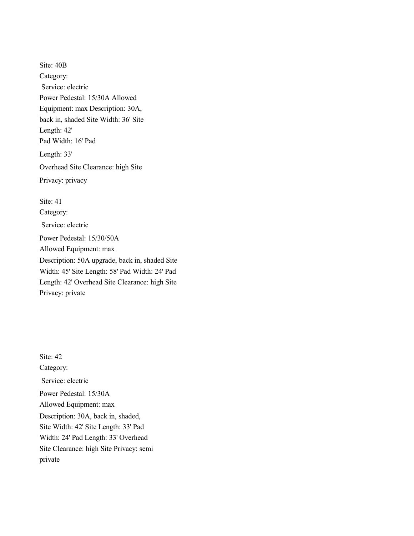Site: 40B Category: Service: electric Power Pedestal: 15/30A Allowed Equipment: max Description: 30A, back in, shaded Site Width: 36' Site Length: 42' Pad Width: 16' Pad Length: 33' Overhead Site Clearance: high Site Privacy: privacy Site: 41 Category: Service: electric Power Pedestal: 15/30/50A Allowed Equipment: max Description: 50A upgrade, back in, shaded Site Width: 45' Site Length: 58' Pad Width: 24' Pad

Length: 42' Overhead Site Clearance: high Site Privacy: private

Site: 42 Category: Service: electric Power Pedestal: 15/30A Allowed Equipment: max Description: 30A, back in, shaded, Site Width: 42' Site Length: 33' Pad Width: 24' Pad Length: 33' Overhead Site Clearance: high Site Privacy: semi private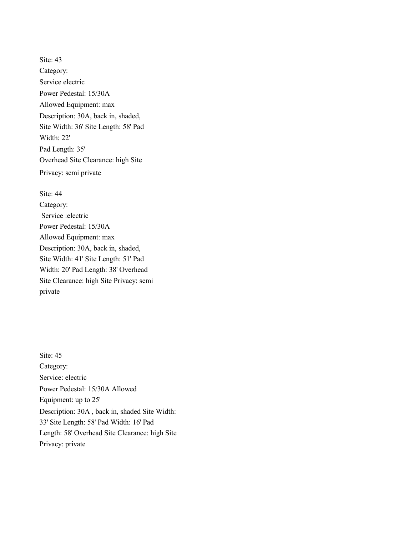Site: 43 Category: Service electric Power Pedestal: 15/30A Allowed Equipment: max Description: 30A, back in, shaded, Site Width: 36' Site Length: 58' Pad Width: 22' Pad Length: 35' Overhead Site Clearance: high Site Privacy: semi private

Site: 44 Category: Service :electric Power Pedestal: 15/30A Allowed Equipment: max Description: 30A, back in, shaded, Site Width: 41' Site Length: 51' Pad Width: 20' Pad Length: 38' Overhead Site Clearance: high Site Privacy: semi private

Site: 45 Category: Service: electric Power Pedestal: 15/30A Allowed Equipment: up to 25' Description: 30A , back in, shaded Site Width: 33' Site Length: 58' Pad Width: 16' Pad Length: 58' Overhead Site Clearance: high Site Privacy: private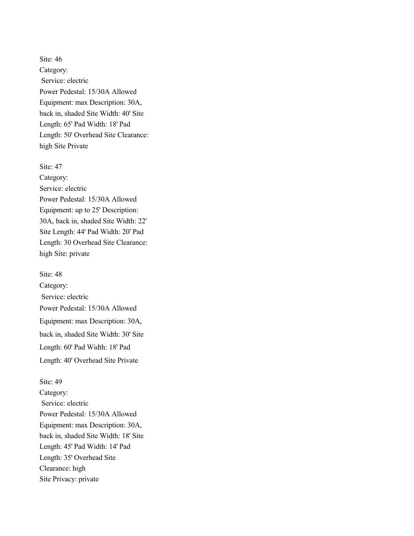Site: 46 Category: Service: electric Power Pedestal: 15/30A Allowed Equipment: max Description: 30A, back in, shaded Site Width: 40' Site Length: 65' Pad Width: 18' Pad Length: 50' Overhead Site Clearance: high Site Private

Site: 47 Category: Service: electric Power Pedestal: 15/30A Allowed Equipment: up to 25' Description: 30A, back in, shaded Site Width: 22' Site Length: 44' Pad Width: 20' Pad Length: 30 Overhead Site Clearance: high Site: private

Site: 48 Category: Service: electric Power Pedestal: 15/30A Allowed Equipment: max Description: 30A, back in, shaded Site Width: 30' Site Length: 60' Pad Width: 18' Pad Length: 40' Overhead Site Private

Site: 49 Category: Service: electric Power Pedestal: 15/30A Allowed Equipment: max Description: 30A, back in, shaded Site Width: 18' Site Length: 45' Pad Width: 14' Pad Length: 35' Overhead Site Clearance: high Site Privacy: private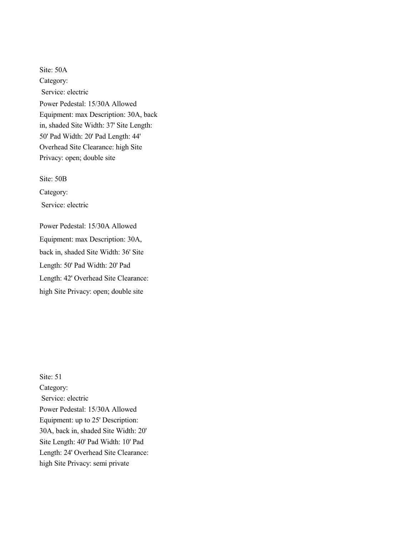Site: 50A Category: Service: electric Power Pedestal: 15/30A Allowed Equipment: max Description: 30A, back in, shaded Site Width: 37' Site Length: 50' Pad Width: 20' Pad Length: 44' Overhead Site Clearance: high Site Privacy: open; double site

Site: 50B

Category:

Service: electric

Power Pedestal: 15/30A Allowed Equipment: max Description: 30A, back in, shaded Site Width: 36' Site Length: 50' Pad Width: 20' Pad Length: 42' Overhead Site Clearance: high Site Privacy: open; double site

Site: 51 Category: Service: electric Power Pedestal: 15/30A Allowed Equipment: up to 25' Description: 30A, back in, shaded Site Width: 20' Site Length: 40' Pad Width: 10' Pad Length: 24' Overhead Site Clearance: high Site Privacy: semi private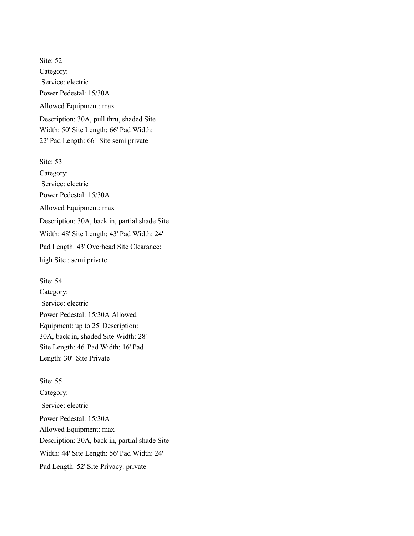Site: 52 Category: Service: electric Power Pedestal: 15/30A Allowed Equipment: max Description: 30A, pull thru, shaded Site Width: 50' Site Length: 66' Pad Width: 22' Pad Length: 66' Site semi private Site: 53

Category: Service: electric Power Pedestal: 15/30A Allowed Equipment: max Description: 30A, back in, partial shade Site Width: 48' Site Length: 43' Pad Width: 24' Pad Length: 43' Overhead Site Clearance: high Site : semi private

Site: 54 Category: Service: electric Power Pedestal: 15/30A Allowed Equipment: up to 25' Description: 30A, back in, shaded Site Width: 28' Site Length: 46' Pad Width: 16' Pad Length: 30' Site Private

Site: 55 Category: Service: electric Power Pedestal: 15/30A Allowed Equipment: max Description: 30A, back in, partial shade Site Width: 44' Site Length: 56' Pad Width: 24' Pad Length: 52' Site Privacy: private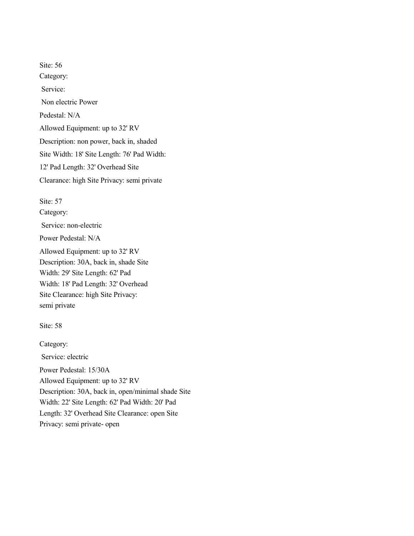Site: 56 Category: Service: Non electric Power Pedestal: N/A Allowed Equipment: up to 32' RV Description: non power, back in, shaded Site Width: 18' Site Length: 76' Pad Width: 12' Pad Length: 32' Overhead Site Clearance: high Site Privacy: semi private

Site: 57

Category: Service: non-electric Power Pedestal: N/A Allowed Equipment: up to 32' RV Description: 30A, back in, shade Site Width: 29' Site Length: 62' Pad Width: 18' Pad Length: 32' Overhead Site Clearance: high Site Privacy: semi private

Site: 58

Category: Service: electric Power Pedestal: 15/30A Allowed Equipment: up to 32' RV Description: 30A, back in, open/minimal shade Site Width: 22' Site Length: 62' Pad Width: 20' Pad Length: 32' Overhead Site Clearance: open Site Privacy: semi private- open